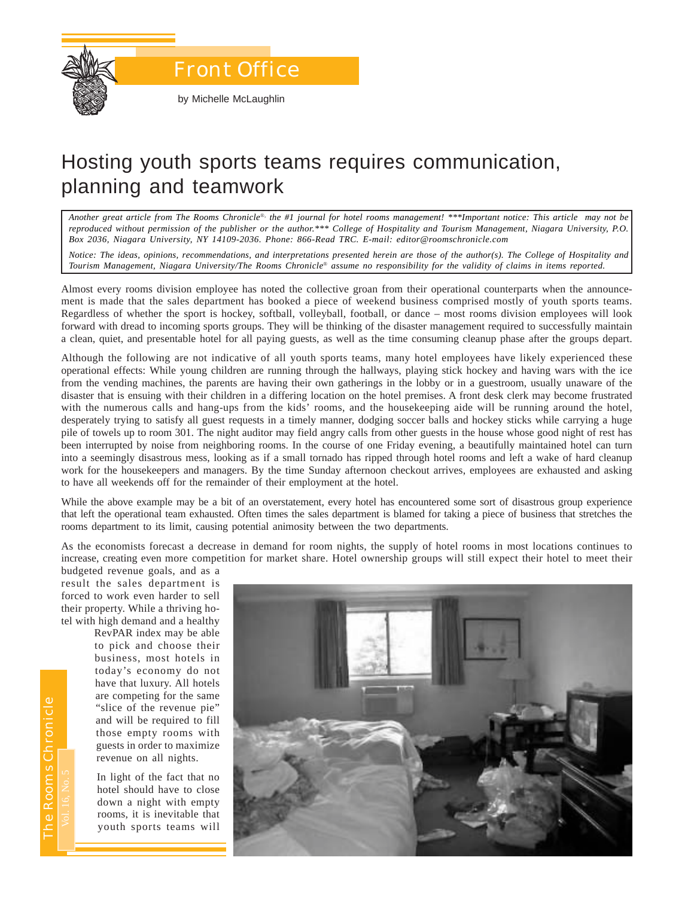

Front Office

by Michelle McLaughlin

# Hosting youth sports teams requires communication, planning and teamwork

*Another great article from The Rooms Chronicle*®*, the #1 journal for hotel rooms management! \*\*\*Important notice: This article may not be reproduced without permission of the publisher or the author.\*\*\* College of Hospitality and Tourism Management, Niagara University, P.O. Box 2036, Niagara University, NY 14109-2036. Phone: 866-Read TRC. E-mail: editor@roomschronicle.com*

*Notice: The ideas, opinions, recommendations, and interpretations presented herein are those of the author(s). The College of Hospitality and Tourism Management, Niagara University/The Rooms Chronicle*® *assume no responsibility for the validity of claims in items reported.*

Almost every rooms division employee has noted the collective groan from their operational counterparts when the announcement is made that the sales department has booked a piece of weekend business comprised mostly of youth sports teams. Regardless of whether the sport is hockey, softball, volleyball, football, or dance – most rooms division employees will look forward with dread to incoming sports groups. They will be thinking of the disaster management required to successfully maintain a clean, quiet, and presentable hotel for all paying guests, as well as the time consuming cleanup phase after the groups depart.

Although the following are not indicative of all youth sports teams, many hotel employees have likely experienced these operational effects: While young children are running through the hallways, playing stick hockey and having wars with the ice from the vending machines, the parents are having their own gatherings in the lobby or in a guestroom, usually unaware of the disaster that is ensuing with their children in a differing location on the hotel premises. A front desk clerk may become frustrated with the numerous calls and hang-ups from the kids' rooms, and the housekeeping aide will be running around the hotel, desperately trying to satisfy all guest requests in a timely manner, dodging soccer balls and hockey sticks while carrying a huge pile of towels up to room 301. The night auditor may field angry calls from other guests in the house whose good night of rest has been interrupted by noise from neighboring rooms. In the course of one Friday evening, a beautifully maintained hotel can turn into a seemingly disastrous mess, looking as if a small tornado has ripped through hotel rooms and left a wake of hard cleanup work for the housekeepers and managers. By the time Sunday afternoon checkout arrives, employees are exhausted and asking to have all weekends off for the remainder of their employment at the hotel.

While the above example may be a bit of an overstatement, every hotel has encountered some sort of disastrous group experience that left the operational team exhausted. Often times the sales department is blamed for taking a piece of business that stretches the rooms department to its limit, causing potential animosity between the two departments.

As the economists forecast a decrease in demand for room nights, the supply of hotel rooms in most locations continues to increase, creating even more competition for market share. Hotel ownership groups will still expect their hotel to meet their

budgeted revenue goals, and as a result the sales department is forced to work even harder to sell their property. While a thriving hotel with high demand and a healthy

> RevPAR index may be able to pick and choose their business, most hotels in today's economy do not have that luxury. All hotels are competing for the same "slice of the revenue pie" and will be required to fill those empty rooms with guests in order to maximize revenue on all nights.

In light of the fact that no hotel should have to close down a night with empty rooms, it is inevitable that youth sports teams will



The Rooms Chronicle he Rooms Chronicle